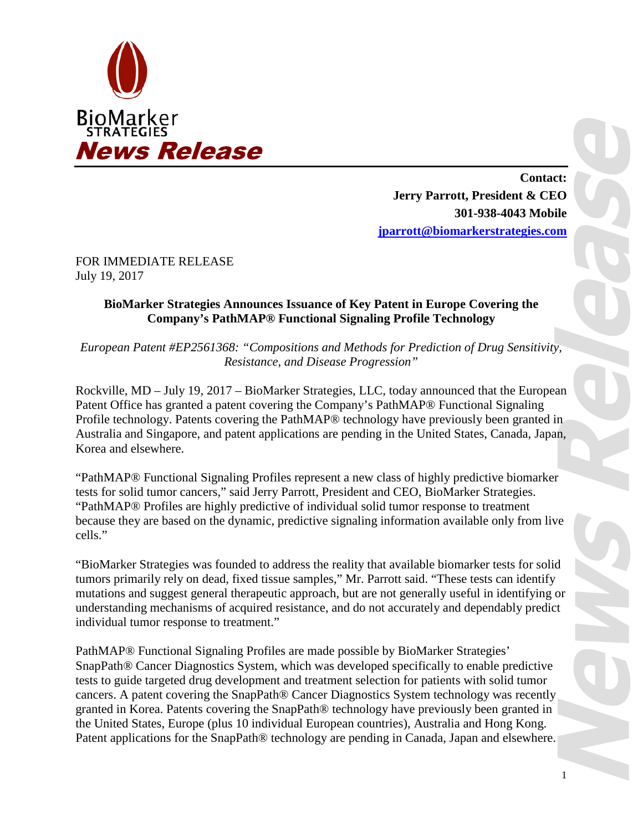

**Contact: Jerry Parrott, President & CEO 301-938-4043 Mobile [jparrott@biomarkerstrategies.com](mailto:jparrott@biomarkerstrategies.com)**

FOR IMMEDIATE RELEASE July 19, 2017

## **BioMarker Strategies Announces Issuance of Key Patent in Europe Covering the Company's PathMAP® Functional Signaling Profile Technology**

*European Patent #EP2561368: "Compositions and Methods for Prediction of Drug Sensitivity, Resistance, and Disease Progression"*

Rockville, MD – July 19, 2017 – BioMarker Strategies, LLC, today announced that the European Patent Office has granted a patent covering the Company's PathMAP® Functional Signaling Profile technology. Patents covering the PathMAP® technology have previously been granted in Australia and Singapore, and patent applications are pending in the United States, Canada, Japan, Korea and elsewhere.

"PathMAP® Functional Signaling Profiles represent a new class of highly predictive biomarker tests for solid tumor cancers," said Jerry Parrott, President and CEO, BioMarker Strategies. "PathMAP® Profiles are highly predictive of individual solid tumor response to treatment because they are based on the dynamic, predictive signaling information available only from live cells."

"BioMarker Strategies was founded to address the reality that available biomarker tests for solid tumors primarily rely on dead, fixed tissue samples," Mr. Parrott said. "These tests can identify mutations and suggest general therapeutic approach, but are not generally useful in identifying or understanding mechanisms of acquired resistance, and do not accurately and dependably predict individual tumor response to treatment."

PathMAP® Functional Signaling Profiles are made possible by BioMarker Strategies' SnapPath® Cancer Diagnostics System, which was developed specifically to enable predictive tests to guide targeted drug development and treatment selection for patients with solid tumor cancers. A patent covering the SnapPath® Cancer Diagnostics System technology was recently granted in Korea. Patents covering the SnapPath® technology have previously been granted in the United States, Europe (plus 10 individual European countries), Australia and Hong Kong. Patent applications for the SnapPath® technology are pending in Canada, Japan and elsewhere.